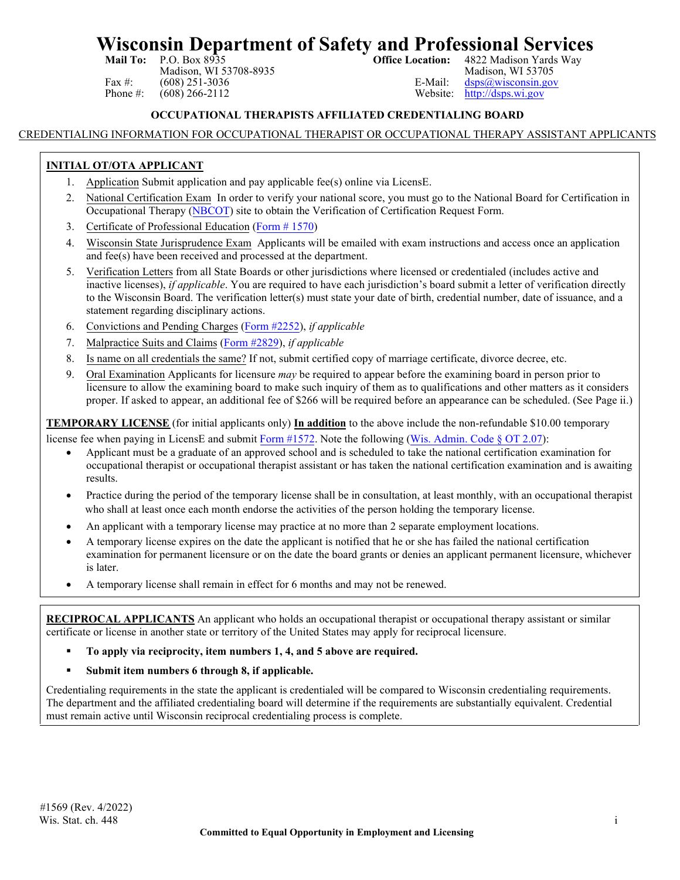# **Wisconsin Department of Safety and Professional Services**<br>Mail To: P.O. Box 8935<br>office Location: 4822 Madison Yards Way

Madison, WI 53708-8935<br>  $(608)$  251-3036<br>
E-Mail: Fax #: (608) 251-3036<br>
Phone #: (608) 266-2112<br>
Phone #: (608) 266-2112<br>
Phone #: (608) 266-2112

4822 Madison Yards Way<br>Madison, WI 53705  $http://dsps.wi.gov$ 

#### **OCCUPATIONAL THERAPISTS AFFILIATED CREDENTIALING BOARD**

#### CREDENTIALING INFORMATION FOR OCCUPATIONAL THERAPIST OR OCCUPATIONAL THERAPY ASSISTANT APPLICANTS

#### **INITIAL OT/OTA APPLICANT**

- 1. Application Submit application and pay applicable fee(s) online via LicensE.
- 2. National Certification Exam In order to verify your national score, you must go to the National Board for Certification in Occupational Therapy [\(NBCOT\)](http://www.nbcot.org/) site to obtain the Verification of Certification Request Form.
- 3. Certificate of Professional Education (Form [# 1570\)](https://dsps.wi.gov/Credentialing/Health/fm1570.pdf)
- 4. Wisconsin State Jurisprudence Exam Applicants will be emailed with exam instructions and access once an application and fee(s) have been received and processed at the department.
- 5. Verification Letters from all State Boards or other jurisdictions where licensed or credentialed (includes active and inactive licenses), *if applicable*. You are required to have each jurisdiction's board submit a letter of verification directly to the Wisconsin Board. The verification letter(s) must state your date of birth, credential number, date of issuance, and a statement regarding disciplinary actions.
- 6. Convictions and Pending Charges [\(Form #2252\)](https://dsps.wi.gov/Credentialing/General/FM2252.pdf), *if applicable*
- 7. Malpractice Suits and Claims [\(Form #2829\),](https://dsps.wi.gov/Credentialing/Health/fm2829.pdf) *if applicable*
- 8. Is name on all credentials the same? If not, submit certified copy of marriage certificate, divorce decree, etc.
- 9. Oral Examination Applicants for licensure *may* be required to appear before the examining board in person prior to licensure to allow the examining board to make such inquiry of them as to qualifications and other matters as it considers proper. If asked to appear, an additional fee of \$266 will be required before an appearance can be scheduled. (See Page ii.)

**TEMPORARY LICENSE** (for initial applicants only) **In addition** to the above include [the non-refund](https://dsps.wi.gov/Credentialing/Health/fm1572.pdf)able \$10.00 temporary

license fee when paying in LicensE and submit Form #1572. Note the following [\(Wis. Admin. Code](https://docs.legis.wisconsin.gov/code/admin_code/ot/2/07) § OT 2.07):

- Applicant must be a graduate of an approved school and is scheduled to take the national certification examination for occupational therapist or occupational therapist assistant or has taken the national certification examination and is awaiting results.
- Practice during the period of the temporary license shall be in consultation, at least monthly, with an occupational therapist who shall at least once each month endorse the activities of the person holding the temporary license.
- An applicant with a temporary license may practice at no more than 2 separate employment locations.
- A temporary license expires on the date the applicant is notified that he or she has failed the national certification examination for permanent licensure or on the date the board grants or denies an applicant permanent licensure, whichever is later.
- A temporary license shall remain in effect for 6 months and may not be renewed.

**RECIPROCAL APPLICANTS** An applicant who holds an occupational therapist or occupational therapy assistant or similar certificate or license in another state or territory of the United States may apply for reciprocal licensure.

- **To apply via reciprocity, item numbers 1, 4, and 5 above are required.**
- **Submit item numbers 6 through 8, if applicable.**

Credentialing requirements in the state the applicant is credentialed will be compared to Wisconsin credentialing requirements. The department and the affiliated credentialing board will determine if the requirements are substantially equivalent. Credential must remain active until Wisconsin reciprocal credentialing process is complete.